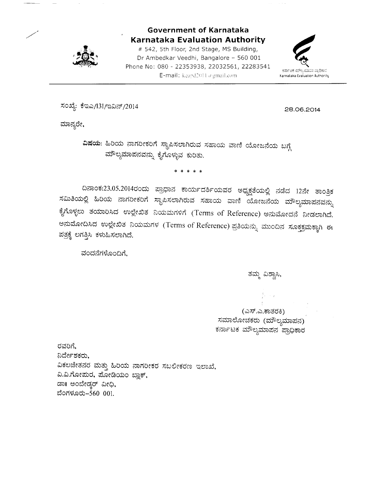

Government of Karnataka Karnataka Evaluation Authority

# 542, 5th Floor, 2nd Stage, MS Building, Dr Ambedkar Veedhi, Bangalore - 560 001 Phone No: 080 - 22353938, 22032561, 22283541 E-mail: keapd2011  $a$  gmail.com.



ಸಂಖ್ಯೆ: ಕೆಇಎ/131/ಇವಿನ್/2014

28.06.2c^14

ಮಾನ್ಯರೇ,

ವಿಷಯ: ಹಿರಿಯ ನಾಗರೀಕರಿಗೆ ಸ್ಥಾಪಿಸಲಾಗಿರುವ ಸಹಾಯ ವಾಣಿ ಯೋಜನೆಯ ಬಗ್ಗೆ ಮೌಲ್ಯಮಾಪನವನ್ನು ಕೈಗೊಳ್ಳುವ ಕುರಿತು.

\*\*\*\*\*

ದಿನಾಂಕ:23.05.2014ರಂದು ಪ್ರಾಧಾನ ಕಾರ್ಯದರ್ಶಿಯವರ ಅಧ್ಯಕ್ಷತೆಯಲ್ಲಿ ನಡೆದ 12ನೇ ತಾಂತ್ರಿಕ<br>ಸಮಿತಿಯಲ್ಲಿ ಹಿರಿಯ ನಾಗರೀಕರಿಗೆ ಸ್ಥಾಪಿಸಲಾಗಿರುವ ಸಹಾಯ ವಾಣಿ ಯೋಜನೆಯ ಮೌಲ್ಯಮಾಪನವನ್ನು ಕೈಗೊಳ್ಳಲು ತಯಾರಿಸಿದ ಉಲ್ಲೇಖಿತ ನಿಯಮಗಳಿಗೆ (Terms of Reference) ಅನುಮೋದನೆ ನೀಡಲಾಗಿದೆ. ಅನುಮೋದಿಸಿದ ಉಲ್ಲೇಖಿತ ನಿಯಮಗಳ (Terms of Reference) ಪ್ರತಿಯನ್ನು ಮುಂದಿನ ಸೂಕ್ತಕ್ರಮಕ್ಕಾಗಿ ಈ ಪತ್ರಕ್ಕೆ ಲಗತ್ತಿಸಿ ಕಳುಹಿಸಲಾಗಿದೆ.

ವಂದನೆಗಳೊಂದಿಗೆ,

ತಮ್ಮ ವಿಶ್ರ<mark>ಾಸಿ</mark>,

(ಎಸ್.ಎ.ಕಾತರಕಿ) ಸಮಾಲೋಚಕರು (ಮೌಲ್ಯಮಾಪನ) ಕರ್ನಾಟಕ ಮೌಲ್ಯಮಾಪನ<sup>್</sup>ಪ್ರಾಧಿಕಾರ

ರವರಿಗೆ. ನಿರ್ದೇಶಕರು, ವಿಕಲಚೇತನರ ಮತ್ತು ಹಿರಿಯ ನಾಗರೀಕರ ಸಬಲೀಕರಣ ಇಲಾಖೆ, ವಿ.ವಿ.ಗೋಮರ, ಮೋಡಿಯಂ ಬ್ಲಾಕ್, ಡಾ ಅಂಬೇಡ್ಕರ್ ವೀಧಿ, ಬೆಂಗಳೂರು–560 001.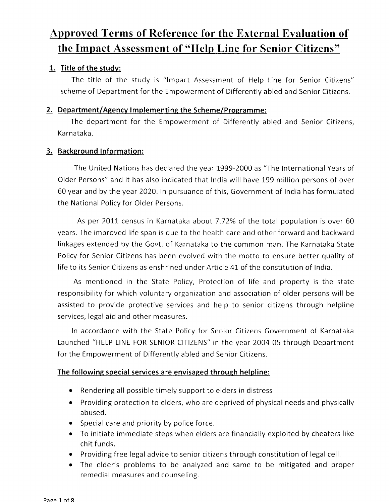# Approved Terms of Reference for the External Evaluation of the Impact Assessment of "Help Line for Senior Citizens"

### 1. Title of the studv:

The title of the study is "lmpact Assessment of Help Line for Senior Citizens" scheme of Department for the Empowerment of Differently abled and Senior Citizens.

### 2. Department/Agency Implementing the Scheme/Programme:

The department for the Empowerment of Differently abled and Senior Citizens, Karnataka.

### 3. Background Information:

The United Nations has declared the year 1999-2000 as "The International Years of Older Persons" and it has also indicated that India will have 199 million persons of over 60 year and by the year 2020.In pursuance of this, Government of India has formulated the National Policy for Older Persons.

As per 2011 census in Karnataka about 7.72% of the total population is over 60 years. The improved life span is due to thc health care and other forward and backward linkages extended by the Govt. of Karnataka to the common man. The Karnataka State Policy for Senior Citizens has been evolved with the motto to ensure better quality of life to its Senior Citizens as enshrined undcr Article 41of the constitution of India.

As mentioned in the State Policy, Protection of life and property is the state responsibility for which voluntary organization and association of older persons will be assisted to provide protective services and help to senior citizens through helpline services, legal aid and other measures.

In accordance with the State Policy for Senior Citizens Government of Karnataka Launched "HELP LINE FOR SENIOR CITIZENS" in the year 2004 05 through Department for the Empowerment of Differently abled and Senior Citizens.

#### The following special services are envisaged through helpline:

- Rendering all possible timely support to elders in distress
- Providing protection to elders, who are deprived of physical needs and physically abused.
- Special care and priority by police force.
- $\bullet$  To initiate immediate steps when elders are financially exploited by cheaters like chit funds.
- Providing free legal advice to senior citizens through constitution of legal cell.
- The elder's problems to be analyzed and same to be mitigated and proper a remedial measures and counseling.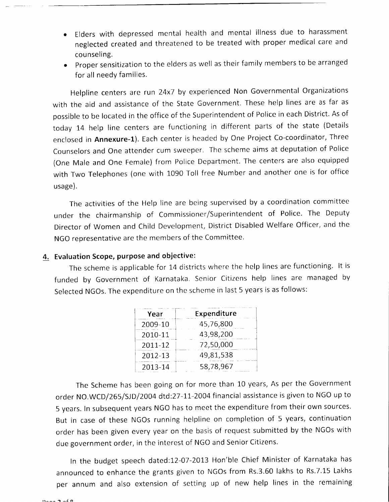- Elders with depressed mental health and mental illness due to harassment neglected created and threatened to be treated with proper medical care and counseling.
- o proper sensitization to the elders as well as their family members to be arranged for all needy families.

Helpline centers are run 24x7 by experienced Non Governmental Organizations with the aid and assistance of the State Government. These help lines are as far as possible to be located in the office of the Superintendent of Police in each District. As of today 14 help line centers are functioning in different parts of the state (Details enclosed in Annexure-1). Each center is headed by One Project Co-coordinator, Three Counselors and One attender cum sweeper. The scheme aims at deputation of Police (One Male and One Female) from Police Department. The centers are also equipped with Two Telephones (one with 1090 Toll free Number and another one is for office usage).

The activities of the Help line are being supervised by a coordination committee under the chairmanship of Commissioner/Superintendent of Police. The Deputy Director of Women and Child Development, District Disabled Welfare Officer, and the NGO representative are the members of the Committee.

### 4. Evaluation Scope, purpose and objective:

The scheme is applicable for 14 districts where the help lines are functioning. lt is funded by Government of Karnataka. Senior Citizens help lines are managed by Selected NGOs. The expenditure on the scheme in last 5 years is as follows:

| Year    | Expenditure |
|---------|-------------|
| 2009-10 | 45,76,800   |
| 2010-11 | 43,98,200   |
| 2011-12 | 72,50,000   |
| 2012-13 | 49,81,538   |
| 2013-14 | 58,78,967   |

The Scheme has been going on for more than 10 years, As per the Government order NO.WCD/265/SJD/2004 dtd:27-11-2004 financial assistance is given to NGO up to <sup>5</sup>years. In subsequent years NGO has to meet the expenditure from their own sources. But in case of these NGOs running helpline on completion of 5 years, continuation order has been given every year on the basis of request submitted by the NGOs with due government order, in the interest of NGO and Senior Citizens.

ln the budget speech dated:12-07-2013 Hon'ble Chief Minister of Karnataka has announced to enhance the grants given to NGOs from Rs.3.60 lakhs to Rs.7.15 Lakhs per annum and also extension of setting up of new help lines in the remaining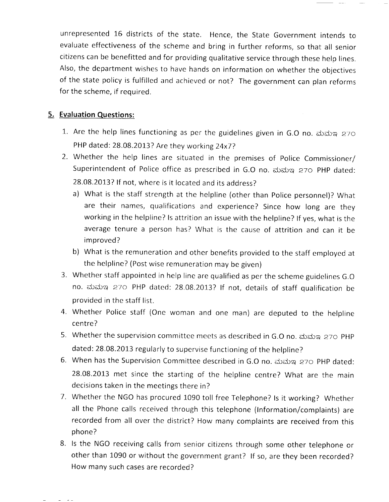unrepresented 16 districts of the state. Hence, the State Government intends to evaluate effectiveness of the scheme and bring in further reforms, so that all senior citizens can be benefitted and for providing qualitative service through these help lines. Also, the department wishes to have hands on information on whether the objectives of the state policy is fulfilled and achieved or not? The government can plan reforms for the scheme, if required.

### 5. Evaluation Questions:

- 1. Are the help lines functioning as per the guidelines given in G.O no. ಮಮಇ 270 PHP dated: 28.08.2013? Are they working 24x7?
- 2. Whether the help lines are situated in the premises of Police Commissioner/ Superintendent of Police office as prescribed in G.O no. ಮಮಇ 270 PHP dated: 28.08.2013? lf not, where is it located and its address?
	- a) What is the staff strength at the helpline (other than Police personnel)? What are their names, qualifications and experience? Since how long are they working in the helpline? ls attrition an issue with the helpline? lf yes, what is the average tenure a person has? What is the cause of attrition and can it be improved?
	- b) What is the remuneration and other benefits provided to the staff employed at the helpline? (Post wise remuneration may be given)
- 3. Whether staff appointed in help line are qualified as per the scheme guidelines G.O no. ಮಮಇ 270 PHP dated: 28.08.2013? If not, details of staff qualification be provided in the staff list.
- 4. Whether Police staff (One woman and one man) are deputed to the helpline centre?
- 5. Whether the supervision committee meets as described in G.O no. ಮಮಇ 27೦ PHP dated: 28.08.2013 regularly to supervise functioning of the helpline?
- 6. When has the Supervision Committee described in G.O no. ಮಮಇ 270 PHP dated: 28.08.2013 met since the starting of the helpline centre? What are the main decisions taken in the meetings there in?
- Whether the NGO has procured 1090 toll free Telephone? ls it working? Whether 7. all the Phone calls received through this telephone (lnformation/complaints) are recorded from all over the district? How many complaints are received from this phone?
- 8. Is the NGO receiving calls from senior citizens through some other telephone or other than 1090 or without the government grant? lf so, are they been recorded? How many such cases are recorded?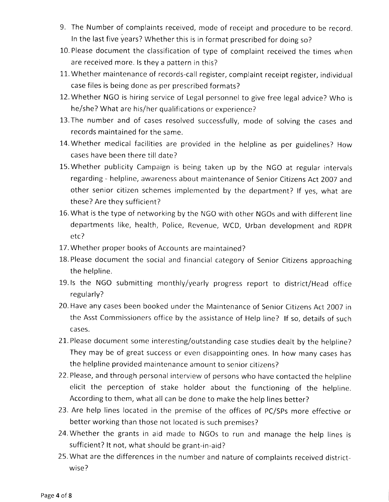- 9. The Number of complaints received, mode of receipt and procedure to be record. In the last five years? Whether this is in format prescribed for doing so?
- 10. Please document the classification of type of complaint received the times when are received more. ls they a pattern in this?
- 11. Whether maintenance of records-call register, complaint receipt register, individual case files is being done as per prescribed formats?
- l2.Whether NGO is hiring service of Legal personnel to give free legal advice? Who is he/she? What are his/her qualifications or experience?
- 13.The number and of cases resolved successfully, mode of solving the cases and records maintained for the same.
- 14.Whether medical facilities are provided in the helpline as per guidelines? How cases have been there till date?
- 15.Whether publicity Campaign is being taken up by the NGO at regular intervals regarding - helpline, awareness about maintenance of Senior Citizens Act 2007 and other senior citizen schemes implemented by the department? lf yes, what are these? Are they sufficient?
- 16.What is the type of networking by the NGO with other NGOs and with different line departments like, health, Police, Revenue, WCD, Urban development and RDPR etc?
- 17. Whether proper books of Accounts are maintained?
- 18. Please document the social and financial category of Senior Citizens approaching the helpline.
- 19.ls the NGO submitting monthly/yearly progress report to district/Head office regularly?
- 20.Have any cases been booked under the Maintenance of Senior Citizens Act 2007 in the Asst Commissioners office by the assistance of Help line? lf so, details of such cases.
- 21. Please document some interesting/outstanding case studies dealt by the helpline? They may be of great success or even disappointing ones. In how many cases has the helpline provided maintenance amount to senior citizens?
- 22.Please, and through personal interview of persons who have contacted the helpline elicit the perception of stake holder about the functioning of the helpline. According to them, what all can be done to make the help lines better?
- 23. Are help lines located in the premise of the offices of PC/SPs more effective or better working than those not located is such premises?
- 24. Whether the grants in aid made to NGOs to run and manage the help lines is sufficient? It not, what should be grant-in-aid?
- 25.What are the differences in the number and nature of complaints received districtwise?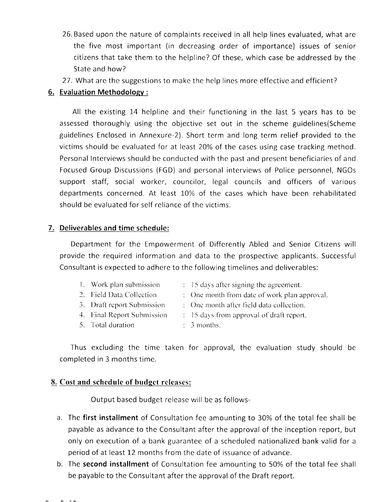- 26, Based upon the nature of complaints received in all help lines evaluated, what are the five most important (in decreasing order of importance) issues of senior citizens that take them to the helpline? Of these, which case be addressed by the State and how?
- 27. What are the suggestions to make the help lines more effective and efficient?

#### 6. Evaluation Methodolosv :

All the existing 14 helpline and their functioning in the last 5 years has to be assessed thoroughly using the objective set out in the scheme guidelines(Scheme guidelines Enclosed in Annexure-2). Short term and long term relief provided to the victims should be evaluated for at least 20% of the cases using case tracking method. Personal Interviews should be conducted with the past and present beneficiaries of and Focused Group Discussions (FGD) and personal interviews of Police personnel, NGOs support staff, social worker, councilor, legal councils and officers of various departments concerned. At least 10% of the cases which have been rehabilitated should be evaluated for self reliance of the victims.

### 7. Deliverables and time schedule:

Department for the Empowerment of Differently Abled and Senior Citizens will provide the required information and data to the prospective applicants. Successfu Consultant is expected to adhere to the following timelines and deliverables:

- 1. Work plan submission  $1.5$  days after signing the agreement.
- 2. Field Data Collection 2011 : One month from date of work plan approval.
- 3. Draft report Submission  $\therefore$  One month after field data collection.
- 4. Final Report Submission (a) 15 days from approval of draft report.
- 5. Total duration  $\therefore$  3 months.
- Thus excluding the time taken for approval, the evaluation study should be completed in 3 months time.

#### 8. Cost and schedule of budget releases:

Output based budget release will be as follows-

- a. The first installment of Consultation fee amounting to 30% of the total fee shall be payable as advance to the Consultant after the approval of the inception report, but only on execution of a bank guarantee of a scheduled nationalized bank valid for <sup>a</sup> period of at least 12 months from the date of issuance of advance.
- b. The second installment of Consultation fee amounting to 50% of the total fee shall be payable to the Consultant after the approval of the Draft report.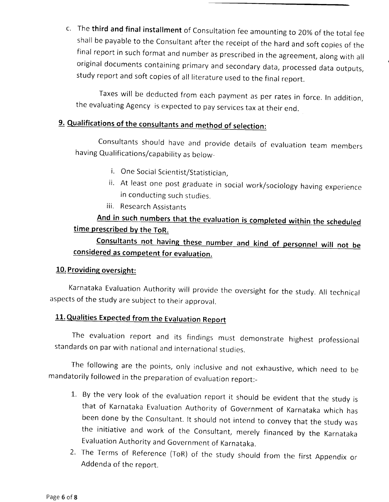c. The third and final installment of Consultation fee amounting to 20% of the total fee shall be payable to the Consultant after the receipt of the hard and soft copies of the final report in such format and number as prescribed in the agreement, along with all original documents containing primary and secondary data, processed data outputs, study report and soft copies of all literature used to the final report.

Taxes will be deducted from each payment as per rates in force. In addition, the evaluating Agency is expected to pay services tax at their end.

# 9. Qualifications of the consultants and method of selection:

Consultants should have and provide details of evaluation team members having Qualifications/capability as below-

- i. One Social Scientist/Statistician,
- ii. At least one post graduate in social work/sociology having experience in conducting such studies.
- iii. Research Assistants

## And in such numbers that the evaluation is completed within the scheduled time prescribed by the ToR.

### Consultants not having these number and kind of personnel will not be considered as competent for evaluation.

### 10. Providing oversight:

Karnataka Evaluation Authority will provide the oversight for the study. All technical aspects of the study are subject to their approval.

### 11. Qualities Expected from the Evaluation Report

The evaluation report and its findings must demonstrate highest professional standards on par with national and international studies.

The following are the points, only inclusive and not exhaustive, which need to be mandatorily followed in the preparation of evaluation report:-

- 1. By the very look of the evaluation report it should be evident that the study is that of Karnataka Evaluation Authority of Government of Karnataka which has been done by the Consultant. lt should not intend to convey that the study was the initiative and work of the Consultant, merely financed by the Karnataka Evaluation Authority and Government of Karnataka.
- 2. The Terms of Reference (ToR) of the study should from the first Appendix or Addenda of the report.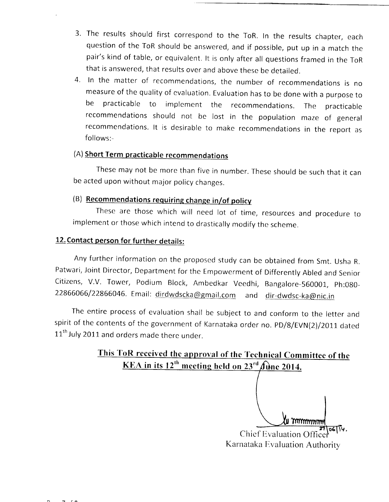- The results should first correspond to the ToR. In the results chapter, each 3. question of the ToR should be answered, and if possible, put up in a match the pair's kind of table, or equivalent. lt is only after all questions framed in the ToR that is answered, that results over and above these be detailed.
- 4. In the matter of recommendations, the number of recommendations is no measure of the quality of evaluation. Evaluation has to be done with a purpose to be practicable to implement the recommendations. The practicable recommendations should not be lost in the population maze of general recommendations. lt is desirable to make recommendations in the reporr as follows:-

### (A) Short Term practicable recommendations

These may not be more than five in number. These should be such that it can be acted upon without major policy changes.

## (B) Recommendations requiring change in/of policy

These are those which will need lot of time, resources and procedure to implement or those which intend to drastically modifv the scheme.

### 12. Contact person for further details:

Any further information on the proposed study can be obtained from Smt. Usha R. Patwari, Joint Director, Department for the Empowerment of Differently Abled and Senior Citizens, V.V. Tower, Podium Block, Ambedkar Veedhi, Bangalore-560001, Ph:080-22866066/22866046. Email: dirdwdscka@gmail.com and dir-dwdsc-ka@nic.in

The entire process of evaluation shall be subject to and conform to the letter and spirit of the contents of the government of Karnataka order no. pD/8/EVN(2)/2011 dated 11<sup>th</sup> July 2011 and orders made there under.

### This ToR received the approval of the Technical Committee of the KEA in its  $12^{th}$  meeting held on  $23^{rd}$   $\hat{f}$  une 2014.

Chief Evaluation Of Karnataka Evaluation Authority